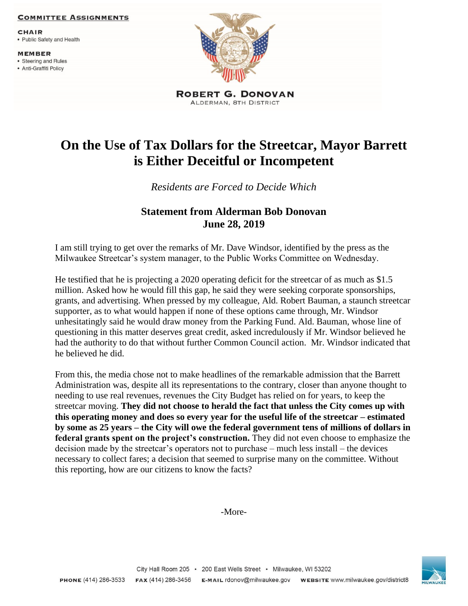## **COMMITTEE ASSIGNMENTS**

**CHAIR** 

• Public Safety and Health

**MEMBER** • Steering and Rules

• Anti-Graffiti Policy



ALDERMAN, 8TH DISTRICT

## **On the Use of Tax Dollars for the Streetcar, Mayor Barrett is Either Deceitful or Incompetent**

*Residents are Forced to Decide Which*

## **Statement from Alderman Bob Donovan June 28, 2019**

I am still trying to get over the remarks of Mr. Dave Windsor, identified by the press as the Milwaukee Streetcar's system manager, to the Public Works Committee on Wednesday.

He testified that he is projecting a 2020 operating deficit for the streetcar of as much as \$1.5 million. Asked how he would fill this gap, he said they were seeking corporate sponsorships, grants, and advertising. When pressed by my colleague, Ald. Robert Bauman, a staunch streetcar supporter, as to what would happen if none of these options came through, Mr. Windsor unhesitatingly said he would draw money from the Parking Fund. Ald. Bauman, whose line of questioning in this matter deserves great credit, asked incredulously if Mr. Windsor believed he had the authority to do that without further Common Council action. Mr. Windsor indicated that he believed he did.

From this, the media chose not to make headlines of the remarkable admission that the Barrett Administration was, despite all its representations to the contrary, closer than anyone thought to needing to use real revenues, revenues the City Budget has relied on for years, to keep the streetcar moving. **They did not choose to herald the fact that unless the City comes up with this operating money and does so every year for the useful life of the streetcar – estimated by some as 25 years – the City will owe the federal government tens of millions of dollars in federal grants spent on the project's construction.** They did not even choose to emphasize the decision made by the streetcar's operators not to purchase – much less install – the devices necessary to collect fares; a decision that seemed to surprise many on the committee. Without this reporting, how are our citizens to know the facts?

-More-